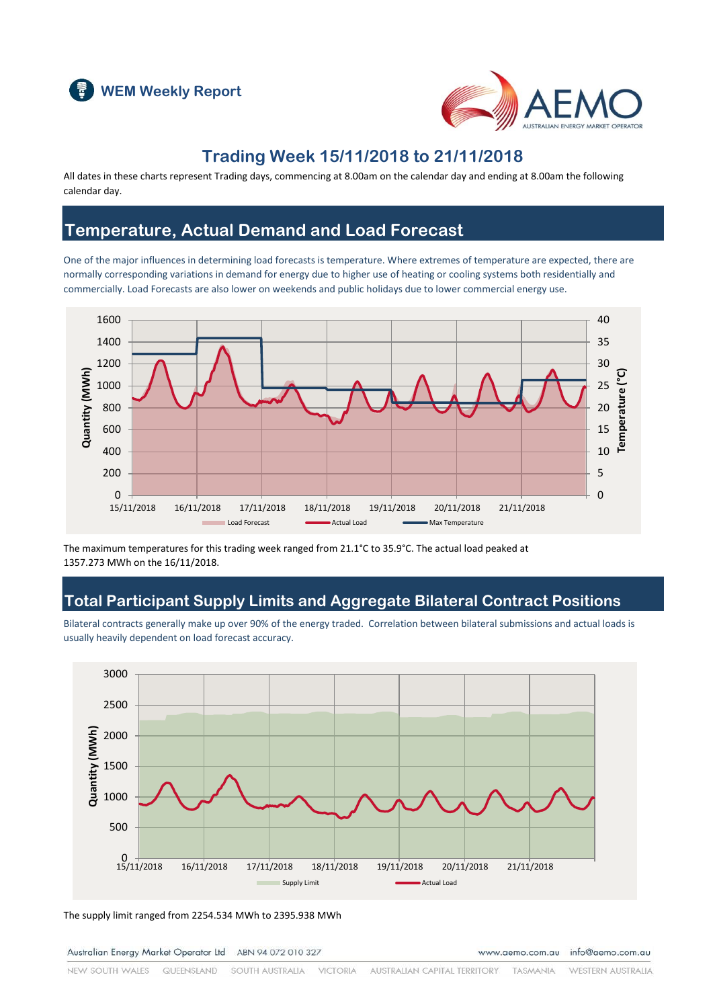



## **Trading Week 15/11/2018 to 21/11/2018**

All dates in these charts represent Trading days, commencing at 8.00am on the calendar day and ending at 8.00am the following calendar day.

### **Temperature, Actual Demand and Load Forecast**

One of the major influences in determining load forecasts is temperature. Where extremes of temperature are expected, there are normally corresponding variations in demand for energy due to higher use of heating or cooling systems both residentially and commercially. Load Forecasts are also lower on weekends and public holidays due to lower commercial energy use.



The maximum temperatures for this trading week ranged from 21.1°C to 35.9°C. The actual load peaked at 1357.273 MWh on the 16/11/2018.

### **Total Participant Supply Limits and Aggregate Bilateral Contract Positions**

Bilateral contracts generally make up over 90% of the energy traded. Correlation between bilateral submissions and actual loads is usually heavily dependent on load forecast accuracy.



The supply limit ranged from 2254.534 MWh to 2395.938 MWh

Australian Energy Market Operator Ltd ABN 94 072 010 327

www.aemo.com.au info@aemo.com.au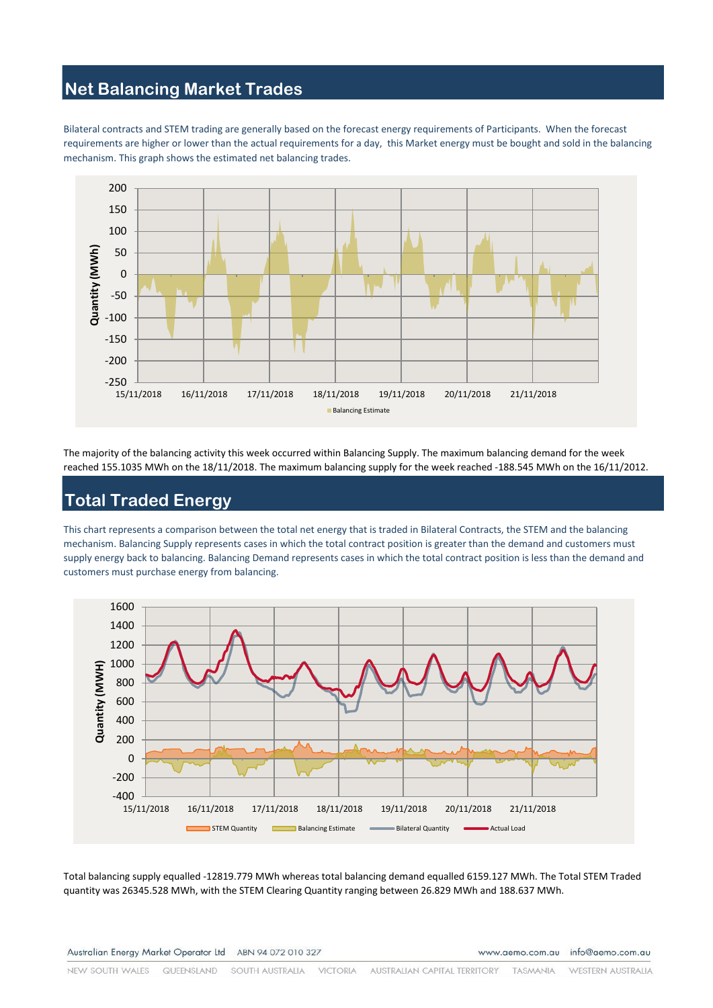## **Net Balancing Market Trades**

Bilateral contracts and STEM trading are generally based on the forecast energy requirements of Participants. When the forecast requirements are higher or lower than the actual requirements for a day, this Market energy must be bought and sold in the balancing mechanism. This graph shows the estimated net balancing trades.



The majority of the balancing activity this week occurred within Balancing Supply. The maximum balancing demand for the week reached 155.1035 MWh on the 18/11/2018. The maximum balancing supply for the week reached -188.545 MWh on the 16/11/2012.

# **Total Traded Energy**

This chart represents a comparison between the total net energy that is traded in Bilateral Contracts, the STEM and the balancing mechanism. Balancing Supply represents cases in which the total contract position is greater than the demand and customers must supply energy back to balancing. Balancing Demand represents cases in which the total contract position is less than the demand and customers must purchase energy from balancing.



Total balancing supply equalled -12819.779 MWh whereas total balancing demand equalled 6159.127 MWh. The Total STEM Traded quantity was 26345.528 MWh, with the STEM Clearing Quantity ranging between 26.829 MWh and 188.637 MWh.